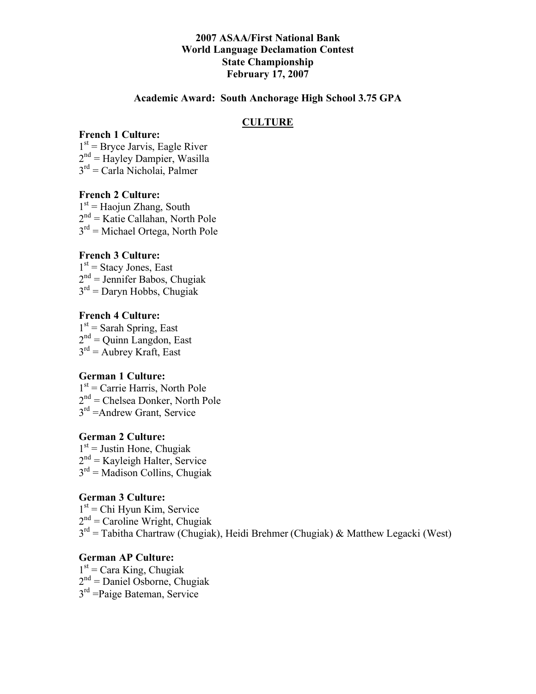## **2007 ASAA/First National Bank World Language Declamation Contest State Championship February 17, 2007**

### **Academic Award: South Anchorage High School 3.75 GPA**

### **CULTURE**

### **French 1 Culture:**

 $1<sup>st</sup>$  = Bryce Jarvis, Eagle River  $2<sup>nd</sup>$  = Hayley Dampier, Wasilla  $3<sup>rd</sup>$  = Carla Nicholai, Palmer

#### **French 2 Culture:**

 $1<sup>st</sup>$  = Haojun Zhang, South  $2<sup>nd</sup>$  = Katie Callahan, North Pole  $3<sup>rd</sup>$  = Michael Ortega, North Pole

### **French 3 Culture:**

 $1<sup>st</sup>$  = Stacy Jones, East  $2<sup>nd</sup>$  = Jennifer Babos, Chugiak  $3<sup>rd</sup>$  = Daryn Hobbs, Chugiak

### **French 4 Culture:**

 $1<sup>st</sup>$  = Sarah Spring, East  $2<sup>nd</sup>$  = Quinn Langdon, East  $3<sup>rd</sup>$  = Aubrey Kraft, East

### **German 1 Culture:**

 $1<sup>st</sup>$  = Carrie Harris, North Pole  $2<sup>nd</sup>$  = Chelsea Donker, North Pole  $3<sup>rd</sup>$  = Andrew Grant, Service

### **German 2 Culture:**

 $1<sup>st</sup>$  = Justin Hone, Chugiak  $2<sup>nd</sup>$  = Kayleigh Halter, Service  $3<sup>rd</sup>$  = Madison Collins, Chugiak

### **German 3 Culture:**

 $1<sup>st</sup>$  = Chi Hyun Kim, Service  $2<sup>nd</sup>$  = Caroline Wright, Chugiak  $3<sup>rd</sup>$  = Tabitha Chartraw (Chugiak), Heidi Brehmer (Chugiak) & Matthew Legacki (West)

#### **German AP Culture:**

 $1<sup>st</sup>$  = Cara King, Chugiak  $2<sup>nd</sup>$  = Daniel Osborne, Chugiak  $3<sup>rd</sup>$  =Paige Bateman, Service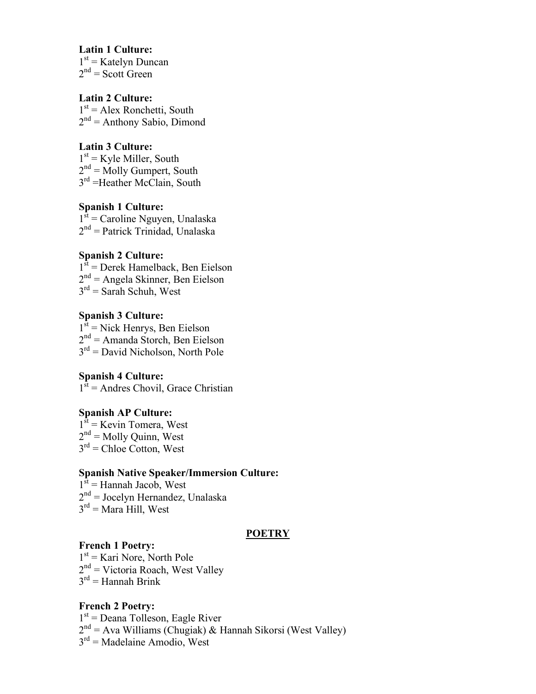#### **Latin 1 Culture:**

 $1<sup>st</sup>$  = Katelyn Duncan  $2<sup>nd</sup>$  = Scott Green

# **Latin 2 Culture:**

 $1<sup>st</sup> = Alex Ronchetti, South$  $2<sup>nd</sup> =$  Anthony Sabio, Dimond

### **Latin 3 Culture:**

 $1<sup>st</sup>$  = Kyle Miller, South  $2<sup>nd</sup>$  = Molly Gumpert, South 3<sup>rd</sup> =Heather McClain, South

# **Spanish 1 Culture:**

 $1<sup>st</sup>$  = Caroline Nguyen, Unalaska  $2<sup>nd</sup>$  = Patrick Trinidad, Unalaska

# **Spanish 2 Culture:**

 $1<sup>st</sup>$  = Derek Hamelback, Ben Eielson  $2<sup>nd</sup>$  = Angela Skinner, Ben Eielson  $3<sup>rd</sup>$  = Sarah Schuh, West

### **Spanish 3 Culture:**  $1<sup>st</sup>$  = Nick Henrys, Ben Eielson  $2<sup>nd</sup>$  = Amanda Storch, Ben Eielson  $3<sup>rd</sup>$  = David Nicholson, North Pole

**Spanish 4 Culture:**  $1<sup>st</sup>$  = Andres Chovil, Grace Christian

### **Spanish AP Culture:**

 $1<sup>st</sup>$  = Kevin Tomera, West  $2<sup>nd</sup>$  = Molly Quinn, West  $3<sup>rd</sup>$  = Chloe Cotton, West

# **Spanish Native Speaker/Immersion Culture:**

 $1<sup>st</sup>$  = Hannah Jacob, West  $2<sup>nd</sup> = Jocelyn Hernandez, Unalaska$  $3<sup>rd</sup>$  = Mara Hill, West

### **POETRY**

# **French 1 Poetry:**

 $1<sup>st</sup>$  = Kari Nore, North Pole  $2<sup>nd</sup>$  = Victoria Roach, West Valley  $3<sup>rd</sup>$  = Hannah Brink

### **French 2 Poetry:**

 $1<sup>st</sup>$  = Deana Tolleson, Eagle River  $2<sup>nd</sup> = Ava Williams (Chugiak) & Hannah Sikorsi (West Valley)$  $3<sup>rd</sup>$  = Madelaine Amodio, West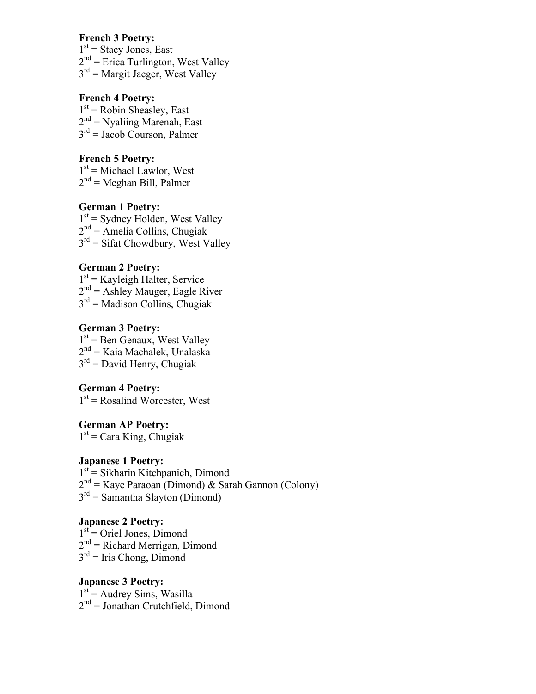# **French 3 Poetry:**

 $1<sup>st</sup>$  = Stacy Jones, East  $2<sup>nd</sup>$  = Erica Turlington, West Valley  $3<sup>rd</sup>$  = Margit Jaeger, West Valley

# **French 4 Poetry:**

 $1<sup>st</sup>$  = Robin Sheasley, East  $2<sup>nd</sup>$  = Nyaliing Marenah, East  $3<sup>rd</sup>$  = Jacob Courson, Palmer

### **French 5 Poetry:**

 $1<sup>st</sup>$  = Michael Lawlor, West  $2<sup>nd</sup>$  = Meghan Bill, Palmer

### **German 1 Poetry:**

 $1<sup>st</sup>$  = Sydney Holden, West Valley  $2<sup>nd</sup> =$  Amelia Collins, Chugiak  $3<sup>rd</sup>$  = Sifat Chowdbury, West Valley

# **German 2 Poetry:**

 $1<sup>st</sup>$  = Kayleigh Halter, Service  $2<sup>nd</sup> =$  Ashley Mauger, Eagle River  $3<sup>rd</sup>$  = Madison Collins, Chugiak

## **German 3 Poetry:**

 $1<sup>st</sup>$  = Ben Genaux, West Valley  $2^{nd}$  = Kaia Machalek, Unalaska  $3<sup>rd</sup>$  = David Henry, Chugiak

# **German 4 Poetry:**

 $1<sup>st</sup>$  = Rosalind Worcester, West

### **German AP Poetry:**  $1<sup>st</sup>$  = Cara King, Chugiak

### **Japanese 1 Poetry:**

1st = Sikharin Kitchpanich, Dimond  $2<sup>nd</sup> =$  Kaye Paraoan (Dimond) & Sarah Gannon (Colony)  $3<sup>rd</sup>$  = Samantha Slayton (Dimond)

### **Japanese 2 Poetry:**

 $1<sup>st</sup>$  = Oriel Jones, Dimond  $2<sup>nd</sup>$  = Richard Merrigan, Dimond  $3<sup>rd</sup>$  = Iris Chong, Dimond

### **Japanese 3 Poetry:**  $1<sup>st</sup>$  = Audrey Sims, Wasilla  $2<sup>nd</sup> = Jonathan Crutchfield, Dimond$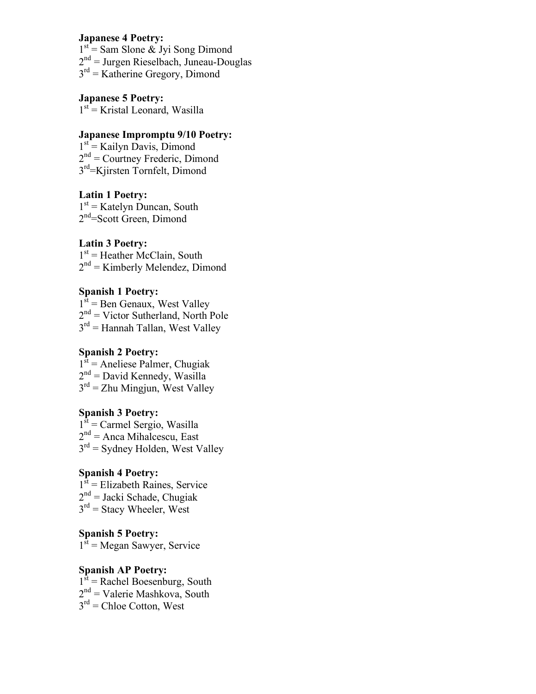## **Japanese 4 Poetry:**

 $1<sup>st</sup> = Sam Slone & Jyi Song Dimond$  $2<sup>nd</sup>$  = Jurgen Rieselbach, Juneau-Douglas

 $3<sup>rd</sup>$  = Katherine Gregory, Dimond

### **Japanese 5 Poetry:**

 $1<sup>st</sup>$  = Kristal Leonard, Wasilla

### **Japanese Impromptu 9/10 Poetry:**

1st = Kailyn Davis, Dimond  $2<sup>nd</sup>$  = Courtney Frederic, Dimond 3<sup>rd</sup>=Kiirsten Tornfelt, Dimond

### **Latin 1 Poetry:**

 $1<sup>st</sup>$  = Katelyn Duncan, South 2<sup>nd</sup>=Scott Green, Dimond

# **Latin 3 Poetry:**

 $1<sup>st</sup>$  = Heather McClain, South  $2<sup>nd</sup>$  = Kimberly Melendez, Dimond

### **Spanish 1 Poetry:**

 $1<sup>st</sup>$  = Ben Genaux, West Valley  $2<sup>nd</sup>$  = Victor Sutherland, North Pole  $3<sup>rd</sup>$  = Hannah Tallan, West Valley

## **Spanish 2 Poetry:**

 $1<sup>st</sup>$  = Aneliese Palmer, Chugiak  $2<sup>nd</sup>$  = David Kennedy, Wasilla  $3<sup>rd</sup> = Zhu Mingjun, West Valley$ 

### **Spanish 3 Poetry:**

 $1<sup>st</sup>$  = Carmel Sergio, Wasilla  $2<sup>nd</sup>$  = Anca Mihalcescu, East  $3<sup>rd</sup>$  = Sydney Holden, West Valley

# **Spanish 4 Poetry:**

 $1<sup>st</sup>$  = Elizabeth Raines, Service  $2<sup>nd</sup> =$  Jacki Schade, Chugiak  $3<sup>rd</sup>$  = Stacy Wheeler, West

# **Spanish 5 Poetry:**

 $1<sup>st</sup>$  = Megan Sawyer, Service

# **Spanish AP Poetry:**

 $1<sup>st</sup>$  = Rachel Boesenburg, South  $2<sup>nd</sup>$  = Valerie Mashkova, South  $3<sup>rd</sup>$  = Chloe Cotton, West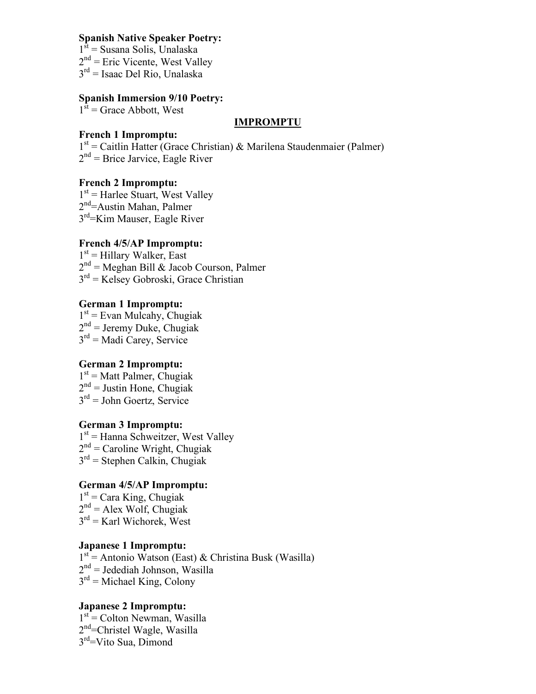### **Spanish Native Speaker Poetry:**

- $1<sup>st</sup>$  = Susana Solis, Unalaska
- $2<sup>nd</sup>$  = Eric Vicente, West Valley
- $3<sup>rd</sup>$  = Isaac Del Rio, Unalaska

# **Spanish Immersion 9/10 Poetry:**

 $1<sup>st</sup>$  = Grace Abbott, West

### **IMPROMPTU**

### **French 1 Impromptu:**

1<sup>st</sup> = Caitlin Hatter (Grace Christian) & Marilena Staudenmaier (Palmer)  $2<sup>nd</sup>$  = Brice Jarvice, Eagle River

# **French 2 Impromptu:**

 $1<sup>st</sup>$  = Harlee Stuart, West Valley 2<sup>nd</sup>=Austin Mahan, Palmer 3<sup>rd</sup>=Kim Mauser, Eagle River

# **French 4/5/AP Impromptu:**

 $1<sup>st</sup>$  = Hillary Walker, East  $2<sup>nd</sup>$  = Meghan Bill & Jacob Courson, Palmer  $3<sup>rd</sup>$  = Kelsey Gobroski, Grace Christian

## **German 1 Impromptu:**

 $1<sup>st</sup>$  = Evan Mulcahy, Chugiak  $2<sup>nd</sup>$  = Jeremy Duke, Chugiak  $3<sup>rd</sup>$  = Madi Carey, Service

# **German 2 Impromptu:**

 $1<sup>st</sup>$  = Matt Palmer, Chugiak  $2<sup>nd</sup> =$  Justin Hone, Chugiak  $3<sup>rd</sup>$  = John Goertz, Service

# **German 3 Impromptu:**

1<sup>st</sup> = Hanna Schweitzer, West Valley  $2<sup>nd</sup>$  = Caroline Wright, Chugiak  $3<sup>rd</sup>$  = Stephen Calkin, Chugiak

# **German 4/5/AP Impromptu:**

 $1<sup>st</sup>$  = Cara King, Chugiak  $2<sup>nd</sup> = Alex Wolf, Chugiak$  $3<sup>rd</sup>$  = Karl Wichorek, West

# **Japanese 1 Impromptu:**

1st = Antonio Watson (East) & Christina Busk (Wasilla)  $2<sup>nd</sup>$  = Jedediah Johnson, Wasilla  $3<sup>rd</sup>$  = Michael King, Colony

# **Japanese 2 Impromptu:**

 $1<sup>st</sup>$  = Colton Newman, Wasilla 2<sup>nd</sup>=Christel Wagle, Wasilla 3rd=Vito Sua, Dimond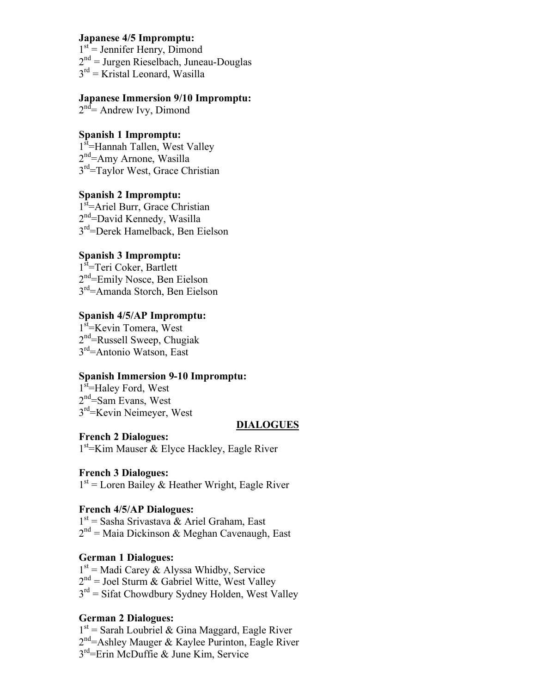### **Japanese 4/5 Impromptu:**

 $1<sup>st</sup>$  = Jennifer Henry, Dimond

 $2<sup>nd</sup>$  = Jurgen Rieselbach, Juneau-Douglas

 $3<sup>rd</sup>$  = Kristal Leonard, Wasilla

# **Japanese Immersion 9/10 Impromptu:**

2<sup>nd</sup> = Andrew Ivy, Dimond

# **Spanish 1 Impromptu:**

1<sup>st</sup>=Hannah Tallen, West Valley 2<sup>nd</sup>=Amy Arnone, Wasilla 3<sup>rd</sup>=Taylor West, Grace Christian

# **Spanish 2 Impromptu:**

1<sup>st</sup>=Ariel Burr, Grace Christian 2<sup>nd</sup>=David Kennedy, Wasilla 3rd=Derek Hamelback, Ben Eielson

# **Spanish 3 Impromptu:**

1<sup>st</sup>=Teri Coker, Bartlett 2<sup>nd</sup>=Emily Nosce, Ben Eielson 3<sup>rd</sup>=Amanda Storch, Ben Eielson

# **Spanish 4/5/AP Impromptu:**

1<sup>st</sup>=Kevin Tomera, West 2<sup>nd</sup>=Russell Sweep, Chugiak 3<sup>rd</sup>=Antonio Watson, East

# **Spanish Immersion 9-10 Impromptu:**

1<sup>st</sup>=Haley Ford, West 2<sup>nd</sup>=Sam Evans, West 3<sup>rd</sup>=Kevin Neimeyer, West

### **DIALOGUES**

**French 2 Dialogues:** 1<sup>st</sup> Kim Mauser & Elyce Hackley, Eagle River

# **French 3 Dialogues:**

 $1<sup>st</sup>$  = Loren Bailey & Heather Wright, Eagle River

### **French 4/5/AP Dialogues:**

1st = Sasha Srivastava & Ariel Graham, East  $2<sup>nd</sup>$  = Maia Dickinson & Meghan Cavenaugh, East

# **German 1 Dialogues:**

1<sup>st</sup> = Madi Carey & Alyssa Whidby, Service

 $2<sup>nd</sup>$  = Joel Sturm & Gabriel Witte, West Valley

 $3<sup>rd</sup>$  = Sifat Chowdbury Sydney Holden, West Valley

# **German 2 Dialogues:**

 $1<sup>st</sup>$  = Sarah Loubriel & Gina Maggard, Eagle River 2<sup>nd</sup>=Ashley Mauger & Kaylee Purinton, Eagle River  $3<sup>rd</sup>$ =Erin McDuffie & June Kim, Service